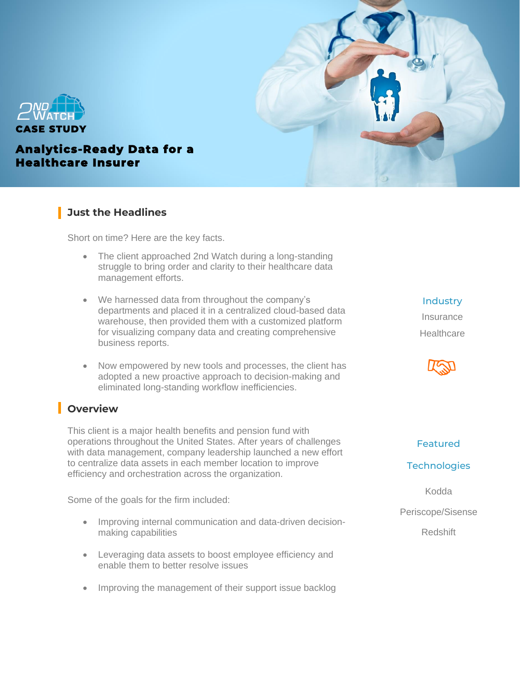



### **Analytics-Ready Data for a Healthcare Insurer**

### **Just the Headlines**

Short on time? Here are the key facts.

- The client approached 2nd Watch during a long-standing struggle to bring order and clarity to their healthcare data management efforts.
- We harnessed data from throughout the company's departments and placed it in a centralized cloud-based data warehouse, then provided them with a customized platform for visualizing company data and creating comprehensive business reports.
- Now empowered by new tools and processes, the client has adopted a new proactive approach to decision-making and eliminated long-standing workflow inefficiencies.

# **Overview**

This client is a major health benefits and pension fund with operations throughout the United States. After years of challenges with data management, company leadership launched a new effort to centralize data assets in each member location to improve efficiency and orchestration across the organization.

Some of the goals for the firm included:

- Improving internal communication and data-driven decisionmaking capabilities
- Leveraging data assets to boost employee efficiency and enable them to better resolve issues
- Improving the management of their support issue backlog

**Industry** Insurance **Healthcare** 



### Featured

#### **Technologies**

Kodda Periscope/Sisense

Redshift